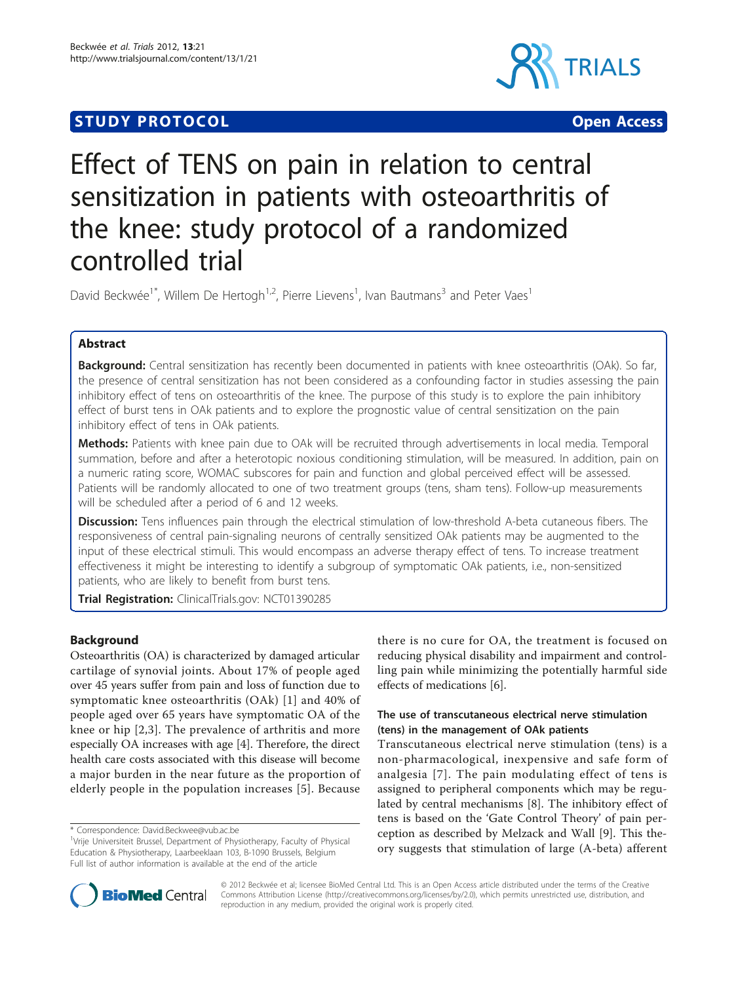# **STUDY PROTOCOL CONSUMING THE CONSUMING OPEN ACCESS**



# Effect of TENS on pain in relation to central sensitization in patients with osteoarthritis of the knee: study protocol of a randomized controlled trial

David Beckwée<sup>1\*</sup>, Willem De Hertogh<sup>1,2</sup>, Pierre Lievens<sup>1</sup>, Ivan Bautmans<sup>3</sup> and Peter Vaes<sup>1</sup>

# Abstract

Background: Central sensitization has recently been documented in patients with knee osteoarthritis (OAk). So far, the presence of central sensitization has not been considered as a confounding factor in studies assessing the pain inhibitory effect of tens on osteoarthritis of the knee. The purpose of this study is to explore the pain inhibitory effect of burst tens in OAk patients and to explore the prognostic value of central sensitization on the pain inhibitory effect of tens in OAk patients.

Methods: Patients with knee pain due to OAk will be recruited through advertisements in local media. Temporal summation, before and after a heterotopic noxious conditioning stimulation, will be measured. In addition, pain on a numeric rating score, WOMAC subscores for pain and function and global perceived effect will be assessed. Patients will be randomly allocated to one of two treatment groups (tens, sham tens). Follow-up measurements will be scheduled after a period of 6 and 12 weeks.

Discussion: Tens influences pain through the electrical stimulation of low-threshold A-beta cutaneous fibers. The responsiveness of central pain-signaling neurons of centrally sensitized OAk patients may be augmented to the input of these electrical stimuli. This would encompass an adverse therapy effect of tens. To increase treatment effectiveness it might be interesting to identify a subgroup of symptomatic OAk patients, i.e., non-sensitized patients, who are likely to benefit from burst tens.

Trial Registration: ClinicalTrials.gov: [NCT01390285](http://www.clinicaltrials.gov/ct2/show/NCT01390285)

# Background

Osteoarthritis (OA) is characterized by damaged articular cartilage of synovial joints. About 17% of people aged over 45 years suffer from pain and loss of function due to symptomatic knee osteoarthritis (OAk) [[1\]](#page-4-0) and 40% of people aged over 65 years have symptomatic OA of the knee or hip [[2,3](#page-5-0)]. The prevalence of arthritis and more especially OA increases with age [[4\]](#page-5-0). Therefore, the direct health care costs associated with this disease will become a major burden in the near future as the proportion of elderly people in the population increases [[5\]](#page-5-0). Because

there is no cure for OA, the treatment is focused on reducing physical disability and impairment and controlling pain while minimizing the potentially harmful side effects of medications [[6\]](#page-5-0).

# The use of transcutaneous electrical nerve stimulation (tens) in the management of OAk patients

Transcutaneous electrical nerve stimulation (tens) is a non-pharmacological, inexpensive and safe form of analgesia [[7](#page-5-0)]. The pain modulating effect of tens is assigned to peripheral components which may be regulated by central mechanisms [[8\]](#page-5-0). The inhibitory effect of tens is based on the 'Gate Control Theory' of pain perception as described by Melzack and Wall [[9\]](#page-5-0). This theory suggests that stimulation of large (A-beta) afferent



© 2012 Beckwée et al; licensee BioMed Central Ltd. This is an Open Access article distributed under the terms of the Creative Commons Attribution License [\(http://creativecommons.org/licenses/by/2.0](http://creativecommons.org/licenses/by/2.0)), which permits unrestricted use, distribution, and reproduction in any medium, provided the original work is properly cited.

<sup>\*</sup> Correspondence: [David.Beckwee@vub.ac.be](mailto:David.Beckwee@vub.ac.be)

<sup>&</sup>lt;sup>1</sup>Vrije Universiteit Brussel, Department of Physiotherapy, Faculty of Physical Education & Physiotherapy, Laarbeeklaan 103, B-1090 Brussels, Belgium Full list of author information is available at the end of the article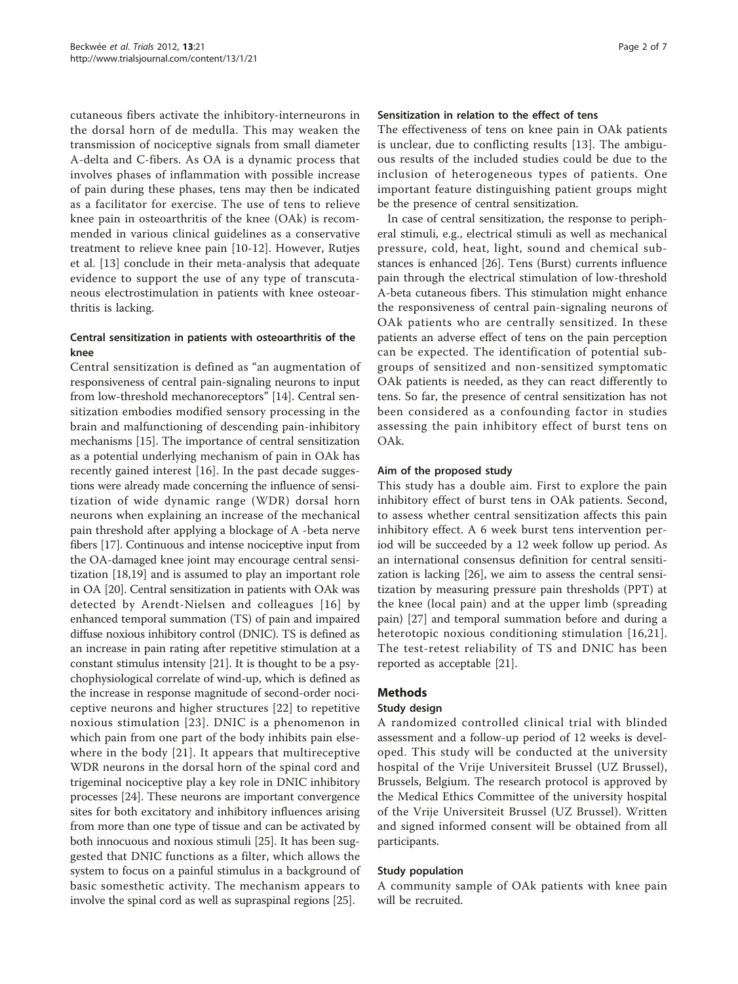cutaneous fibers activate the inhibitory-interneurons in the dorsal horn of de medulla. This may weaken the transmission of nociceptive signals from small diameter A-delta and C-fibers. As OA is a dynamic process that involves phases of inflammation with possible increase of pain during these phases, tens may then be indicated as a facilitator for exercise. The use of tens to relieve knee pain in osteoarthritis of the knee (OAk) is recommended in various clinical guidelines as a conservative treatment to relieve knee pain [[10](#page-5-0)-[12\]](#page-5-0). However, Rutjes et al. [[13\]](#page-5-0) conclude in their meta-analysis that adequate evidence to support the use of any type of transcutaneous electrostimulation in patients with knee osteoarthritis is lacking.

## Central sensitization in patients with osteoarthritis of the knee

Central sensitization is defined as "an augmentation of responsiveness of central pain-signaling neurons to input from low-threshold mechanoreceptors" [[14](#page-5-0)]. Central sensitization embodies modified sensory processing in the brain and malfunctioning of descending pain-inhibitory mechanisms [[15\]](#page-5-0). The importance of central sensitization as a potential underlying mechanism of pain in OAk has recently gained interest [\[16](#page-5-0)]. In the past decade suggestions were already made concerning the influence of sensitization of wide dynamic range (WDR) dorsal horn neurons when explaining an increase of the mechanical pain threshold after applying a blockage of A -beta nerve fibers [\[17\]](#page-5-0). Continuous and intense nociceptive input from the OA-damaged knee joint may encourage central sensitization [[18,19\]](#page-5-0) and is assumed to play an important role in OA [\[20](#page-5-0)]. Central sensitization in patients with OAk was detected by Arendt-Nielsen and colleagues [[16](#page-5-0)] by enhanced temporal summation (TS) of pain and impaired diffuse noxious inhibitory control (DNIC). TS is defined as an increase in pain rating after repetitive stimulation at a constant stimulus intensity [\[21\]](#page-5-0). It is thought to be a psychophysiological correlate of wind-up, which is defined as the increase in response magnitude of second-order nociceptive neurons and higher structures [\[22](#page-5-0)] to repetitive noxious stimulation [[23\]](#page-5-0). DNIC is a phenomenon in which pain from one part of the body inhibits pain elsewhere in the body [[21\]](#page-5-0). It appears that multireceptive WDR neurons in the dorsal horn of the spinal cord and trigeminal nociceptive play a key role in DNIC inhibitory processes [[24\]](#page-5-0). These neurons are important convergence sites for both excitatory and inhibitory influences arising from more than one type of tissue and can be activated by both innocuous and noxious stimuli [\[25](#page-5-0)]. It has been suggested that DNIC functions as a filter, which allows the system to focus on a painful stimulus in a background of basic somesthetic activity. The mechanism appears to involve the spinal cord as well as supraspinal regions [[25](#page-5-0)].

#### Sensitization in relation to the effect of tens

The effectiveness of tens on knee pain in OAk patients is unclear, due to conflicting results [[13\]](#page-5-0). The ambiguous results of the included studies could be due to the inclusion of heterogeneous types of patients. One important feature distinguishing patient groups might be the presence of central sensitization.

In case of central sensitization, the response to peripheral stimuli, e.g., electrical stimuli as well as mechanical pressure, cold, heat, light, sound and chemical substances is enhanced [[26\]](#page-5-0). Tens (Burst) currents influence pain through the electrical stimulation of low-threshold A-beta cutaneous fibers. This stimulation might enhance the responsiveness of central pain-signaling neurons of OAk patients who are centrally sensitized. In these patients an adverse effect of tens on the pain perception can be expected. The identification of potential subgroups of sensitized and non-sensitized symptomatic OAk patients is needed, as they can react differently to tens. So far, the presence of central sensitization has not been considered as a confounding factor in studies assessing the pain inhibitory effect of burst tens on OAk.

### Aim of the proposed study

This study has a double aim. First to explore the pain inhibitory effect of burst tens in OAk patients. Second, to assess whether central sensitization affects this pain inhibitory effect. A 6 week burst tens intervention period will be succeeded by a 12 week follow up period. As an international consensus definition for central sensitization is lacking [[26\]](#page-5-0), we aim to assess the central sensitization by measuring pressure pain thresholds (PPT) at the knee (local pain) and at the upper limb (spreading pain) [\[27\]](#page-5-0) and temporal summation before and during a heterotopic noxious conditioning stimulation [[16](#page-5-0),[21\]](#page-5-0). The test-retest reliability of TS and DNIC has been reported as acceptable [[21](#page-5-0)].

### Methods

### Study design

A randomized controlled clinical trial with blinded assessment and a follow-up period of 12 weeks is developed. This study will be conducted at the university hospital of the Vrije Universiteit Brussel (UZ Brussel), Brussels, Belgium. The research protocol is approved by the Medical Ethics Committee of the university hospital of the Vrije Universiteit Brussel (UZ Brussel). Written and signed informed consent will be obtained from all participants.

### Study population

A community sample of OAk patients with knee pain will be recruited.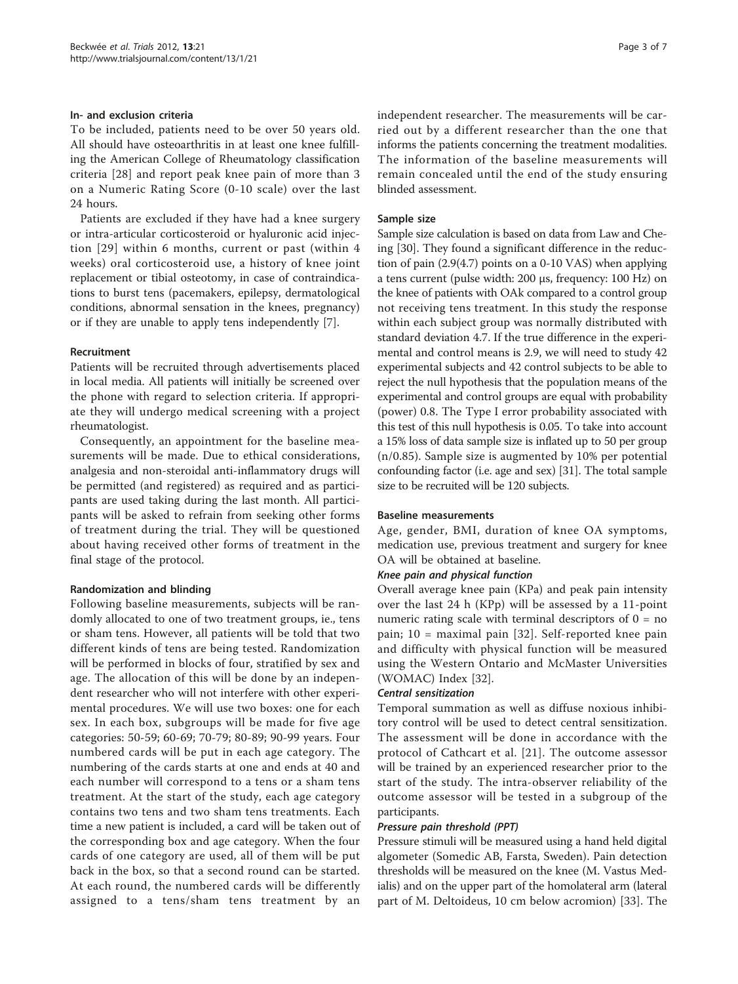#### In- and exclusion criteria

To be included, patients need to be over 50 years old. All should have osteoarthritis in at least one knee fulfilling the American College of Rheumatology classification criteria [\[28\]](#page-5-0) and report peak knee pain of more than 3 on a Numeric Rating Score (0-10 scale) over the last 24 hours.

Patients are excluded if they have had a knee surgery or intra-articular corticosteroid or hyaluronic acid injection [[29](#page-5-0)] within 6 months, current or past (within 4 weeks) oral corticosteroid use, a history of knee joint replacement or tibial osteotomy, in case of contraindications to burst tens (pacemakers, epilepsy, dermatological conditions, abnormal sensation in the knees, pregnancy) or if they are unable to apply tens independently [[7\]](#page-5-0).

### Recruitment

Patients will be recruited through advertisements placed in local media. All patients will initially be screened over the phone with regard to selection criteria. If appropriate they will undergo medical screening with a project rheumatologist.

Consequently, an appointment for the baseline measurements will be made. Due to ethical considerations, analgesia and non-steroidal anti-inflammatory drugs will be permitted (and registered) as required and as participants are used taking during the last month. All participants will be asked to refrain from seeking other forms of treatment during the trial. They will be questioned about having received other forms of treatment in the final stage of the protocol.

### Randomization and blinding

Following baseline measurements, subjects will be randomly allocated to one of two treatment groups, ie., tens or sham tens. However, all patients will be told that two different kinds of tens are being tested. Randomization will be performed in blocks of four, stratified by sex and age. The allocation of this will be done by an independent researcher who will not interfere with other experimental procedures. We will use two boxes: one for each sex. In each box, subgroups will be made for five age categories: 50-59; 60-69; 70-79; 80-89; 90-99 years. Four numbered cards will be put in each age category. The numbering of the cards starts at one and ends at 40 and each number will correspond to a tens or a sham tens treatment. At the start of the study, each age category contains two tens and two sham tens treatments. Each time a new patient is included, a card will be taken out of the corresponding box and age category. When the four cards of one category are used, all of them will be put back in the box, so that a second round can be started. At each round, the numbered cards will be differently assigned to a tens/sham tens treatment by an

independent researcher. The measurements will be carried out by a different researcher than the one that informs the patients concerning the treatment modalities. The information of the baseline measurements will remain concealed until the end of the study ensuring blinded assessment.

#### Sample size

Sample size calculation is based on data from Law and Cheing [\[30](#page-5-0)]. They found a significant difference in the reduction of pain (2.9(4.7) points on a 0-10 VAS) when applying a tens current (pulse width: 200 μs, frequency: 100 Hz) on the knee of patients with OAk compared to a control group not receiving tens treatment. In this study the response within each subject group was normally distributed with standard deviation 4.7. If the true difference in the experimental and control means is 2.9, we will need to study 42 experimental subjects and 42 control subjects to be able to reject the null hypothesis that the population means of the experimental and control groups are equal with probability (power) 0.8. The Type I error probability associated with this test of this null hypothesis is 0.05. To take into account a 15% loss of data sample size is inflated up to 50 per group (n/0.85). Sample size is augmented by 10% per potential confounding factor (i.e. age and sex) [\[31\]](#page-5-0). The total sample size to be recruited will be 120 subjects.

### Baseline measurements

Age, gender, BMI, duration of knee OA symptoms, medication use, previous treatment and surgery for knee OA will be obtained at baseline.

### Knee pain and physical function

Overall average knee pain (KPa) and peak pain intensity over the last 24 h (KPp) will be assessed by a 11-point numeric rating scale with terminal descriptors of  $0 = no$ pain; 10 = maximal pain [[32](#page-5-0)]. Self-reported knee pain and difficulty with physical function will be measured using the Western Ontario and McMaster Universities (WOMAC) Index [[32\]](#page-5-0).

### Central sensitization

Temporal summation as well as diffuse noxious inhibitory control will be used to detect central sensitization. The assessment will be done in accordance with the protocol of Cathcart et al. [\[21](#page-5-0)]. The outcome assessor will be trained by an experienced researcher prior to the start of the study. The intra-observer reliability of the outcome assessor will be tested in a subgroup of the participants.

### Pressure pain threshold (PPT)

Pressure stimuli will be measured using a hand held digital algometer (Somedic AB, Farsta, Sweden). Pain detection thresholds will be measured on the knee (M. Vastus Medialis) and on the upper part of the homolateral arm (lateral part of M. Deltoideus, 10 cm below acromion) [[33\]](#page-5-0). The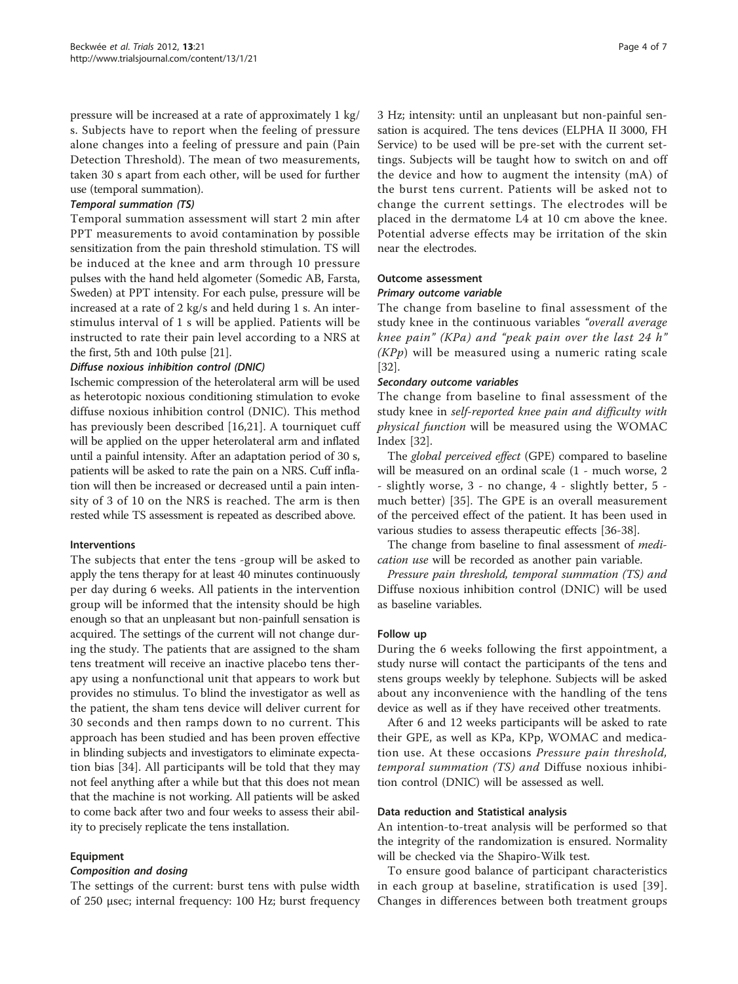pressure will be increased at a rate of approximately 1 kg/ s. Subjects have to report when the feeling of pressure alone changes into a feeling of pressure and pain (Pain Detection Threshold). The mean of two measurements, taken 30 s apart from each other, will be used for further use (temporal summation).

#### Temporal summation (TS)

Temporal summation assessment will start 2 min after PPT measurements to avoid contamination by possible sensitization from the pain threshold stimulation. TS will be induced at the knee and arm through 10 pressure pulses with the hand held algometer (Somedic AB, Farsta, Sweden) at PPT intensity. For each pulse, pressure will be increased at a rate of 2 kg/s and held during 1 s. An interstimulus interval of 1 s will be applied. Patients will be instructed to rate their pain level according to a NRS at the first, 5th and 10th pulse [\[21\]](#page-5-0).

#### Diffuse noxious inhibition control (DNIC)

Ischemic compression of the heterolateral arm will be used as heterotopic noxious conditioning stimulation to evoke diffuse noxious inhibition control (DNIC). This method has previously been described [[16,21](#page-5-0)]. A tourniquet cuff will be applied on the upper heterolateral arm and inflated until a painful intensity. After an adaptation period of 30 s, patients will be asked to rate the pain on a NRS. Cuff inflation will then be increased or decreased until a pain intensity of 3 of 10 on the NRS is reached. The arm is then rested while TS assessment is repeated as described above.

#### Interventions

The subjects that enter the tens -group will be asked to apply the tens therapy for at least 40 minutes continuously per day during 6 weeks. All patients in the intervention group will be informed that the intensity should be high enough so that an unpleasant but non-painfull sensation is acquired. The settings of the current will not change during the study. The patients that are assigned to the sham tens treatment will receive an inactive placebo tens therapy using a nonfunctional unit that appears to work but provides no stimulus. To blind the investigator as well as the patient, the sham tens device will deliver current for 30 seconds and then ramps down to no current. This approach has been studied and has been proven effective in blinding subjects and investigators to eliminate expectation bias [[34\]](#page-5-0). All participants will be told that they may not feel anything after a while but that this does not mean that the machine is not working. All patients will be asked to come back after two and four weeks to assess their ability to precisely replicate the tens installation.

#### Equipment

#### Composition and dosing

The settings of the current: burst tens with pulse width of 250 μsec; internal frequency: 100 Hz; burst frequency 3 Hz; intensity: until an unpleasant but non-painful sensation is acquired. The tens devices (ELPHA II 3000, FH Service) to be used will be pre-set with the current settings. Subjects will be taught how to switch on and off the device and how to augment the intensity (mA) of the burst tens current. Patients will be asked not to change the current settings. The electrodes will be placed in the dermatome L4 at 10 cm above the knee. Potential adverse effects may be irritation of the skin near the electrodes.

#### Outcome assessment

#### Primary outcome variable

The change from baseline to final assessment of the study knee in the continuous variables "overall average knee pain" (KPa) and "peak pain over the last 24 h"  $(KPp)$  will be measured using a numeric rating scale [[32\]](#page-5-0).

#### Secondary outcome variables

The change from baseline to final assessment of the study knee in self-reported knee pain and difficulty with physical function will be measured using the WOMAC Index [\[32\]](#page-5-0).

The global perceived effect (GPE) compared to baseline will be measured on an ordinal scale  $(1 -$  much worse, 2 - slightly worse, 3 - no change, 4 - slightly better, 5 much better) [\[35](#page-5-0)]. The GPE is an overall measurement of the perceived effect of the patient. It has been used in various studies to assess therapeutic effects [\[36-38](#page-5-0)].

The change from baseline to final assessment of *medi*cation use will be recorded as another pain variable.

Pressure pain threshold, temporal summation (TS) and Diffuse noxious inhibition control (DNIC) will be used as baseline variables.

#### Follow up

During the 6 weeks following the first appointment, a study nurse will contact the participants of the tens and stens groups weekly by telephone. Subjects will be asked about any inconvenience with the handling of the tens device as well as if they have received other treatments.

After 6 and 12 weeks participants will be asked to rate their GPE, as well as KPa, KPp, WOMAC and medication use. At these occasions Pressure pain threshold, temporal summation (TS) and Diffuse noxious inhibition control (DNIC) will be assessed as well.

#### Data reduction and Statistical analysis

An intention-to-treat analysis will be performed so that the integrity of the randomization is ensured. Normality will be checked via the Shapiro-Wilk test.

To ensure good balance of participant characteristics in each group at baseline, stratification is used [[39\]](#page-5-0). Changes in differences between both treatment groups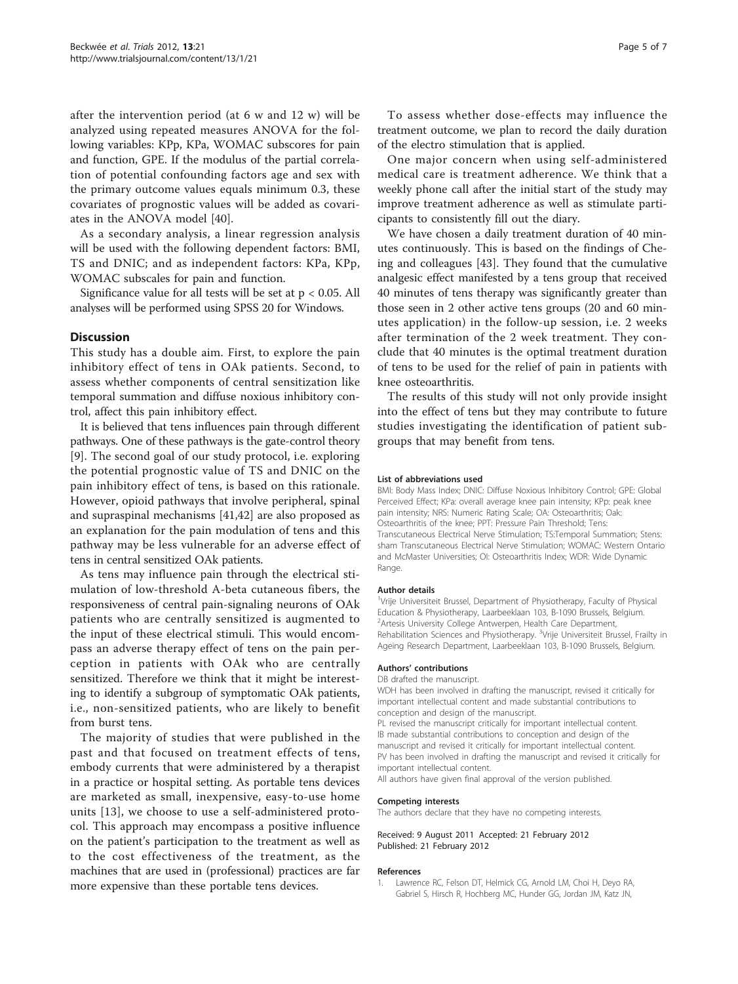<span id="page-4-0"></span>after the intervention period (at 6 w and 12 w) will be analyzed using repeated measures ANOVA for the following variables: KPp, KPa, WOMAC subscores for pain and function, GPE. If the modulus of the partial correlation of potential confounding factors age and sex with the primary outcome values equals minimum 0.3, these covariates of prognostic values will be added as covariates in the ANOVA model [\[40](#page-5-0)].

As a secondary analysis, a linear regression analysis will be used with the following dependent factors: BMI, TS and DNIC; and as independent factors: KPa, KPp, WOMAC subscales for pain and function.

Significance value for all tests will be set at  $p < 0.05$ . All analyses will be performed using SPSS 20 for Windows.

#### **Discussion**

This study has a double aim. First, to explore the pain inhibitory effect of tens in OAk patients. Second, to assess whether components of central sensitization like temporal summation and diffuse noxious inhibitory control, affect this pain inhibitory effect.

It is believed that tens influences pain through different pathways. One of these pathways is the gate-control theory [[9\]](#page-5-0). The second goal of our study protocol, i.e. exploring the potential prognostic value of TS and DNIC on the pain inhibitory effect of tens, is based on this rationale. However, opioid pathways that involve peripheral, spinal and supraspinal mechanisms [\[41,42\]](#page-5-0) are also proposed as an explanation for the pain modulation of tens and this pathway may be less vulnerable for an adverse effect of tens in central sensitized OAk patients.

As tens may influence pain through the electrical stimulation of low-threshold A-beta cutaneous fibers, the responsiveness of central pain-signaling neurons of OAk patients who are centrally sensitized is augmented to the input of these electrical stimuli. This would encompass an adverse therapy effect of tens on the pain perception in patients with OAk who are centrally sensitized. Therefore we think that it might be interesting to identify a subgroup of symptomatic OAk patients, i.e., non-sensitized patients, who are likely to benefit from burst tens.

The majority of studies that were published in the past and that focused on treatment effects of tens, embody currents that were administered by a therapist in a practice or hospital setting. As portable tens devices are marketed as small, inexpensive, easy-to-use home units [\[13](#page-5-0)], we choose to use a self-administered protocol. This approach may encompass a positive influence on the patient's participation to the treatment as well as to the cost effectiveness of the treatment, as the machines that are used in (professional) practices are far more expensive than these portable tens devices.

To assess whether dose-effects may influence the treatment outcome, we plan to record the daily duration of the electro stimulation that is applied.

One major concern when using self-administered medical care is treatment adherence. We think that a weekly phone call after the initial start of the study may improve treatment adherence as well as stimulate participants to consistently fill out the diary.

We have chosen a daily treatment duration of 40 minutes continuously. This is based on the findings of Cheing and colleagues [[43\]](#page-6-0). They found that the cumulative analgesic effect manifested by a tens group that received 40 minutes of tens therapy was significantly greater than those seen in 2 other active tens groups (20 and 60 minutes application) in the follow-up session, i.e. 2 weeks after termination of the 2 week treatment. They conclude that 40 minutes is the optimal treatment duration of tens to be used for the relief of pain in patients with knee osteoarthritis.

The results of this study will not only provide insight into the effect of tens but they may contribute to future studies investigating the identification of patient subgroups that may benefit from tens.

#### List of abbreviations used

BMI: Body Mass Index; DNIC: Diffuse Noxious Inhibitory Control; GPE: Global Perceived Effect; KPa: overall average knee pain intensity; KPp: peak knee pain intensity; NRS: Numeric Rating Scale; OA: Osteoarthritis; Oak: Osteoarthritis of the knee; PPT: Pressure Pain Threshold; Tens: Transcutaneous Electrical Nerve Stimulation; TS:Temporal Summation; Stens: sham Transcutaneous Electrical Nerve Stimulation; WOMAC: Western Ontario and McMaster Universities; OI: Osteoarthritis Index; WDR: Wide Dynamic Range.

#### Author details

<sup>1</sup>Vrije Universiteit Brussel, Department of Physiotherapy, Faculty of Physical Education & Physiotherapy, Laarbeeklaan 103, B-1090 Brussels, Belgium. <sup>2</sup> Artesis University College Antwerpen, Health Care Department, Rehabilitation Sciences and Physiotherapy. <sup>3</sup>Vrije Universiteit Brussel, Frailty in Ageing Research Department, Laarbeeklaan 103, B-1090 Brussels, Belgium.

#### Authors' contributions

DB drafted the manuscript. WDH has been involved in drafting the manuscript, revised it critically for important intellectual content and made substantial contributions to conception and design of the manuscript.

PL revised the manuscript critically for important intellectual content. IB made substantial contributions to conception and design of the manuscript and revised it critically for important intellectual content. PV has been involved in drafting the manuscript and revised it critically for important intellectual content.

All authors have given final approval of the version published.

#### Competing interests

The authors declare that they have no competing interests.

Received: 9 August 2011 Accepted: 21 February 2012 Published: 21 February 2012

#### References

1. Lawrence RC, Felson DT, Helmick CG, Arnold LM, Choi H, Deyo RA, Gabriel S, Hirsch R, Hochberg MC, Hunder GG, Jordan JM, Katz JN,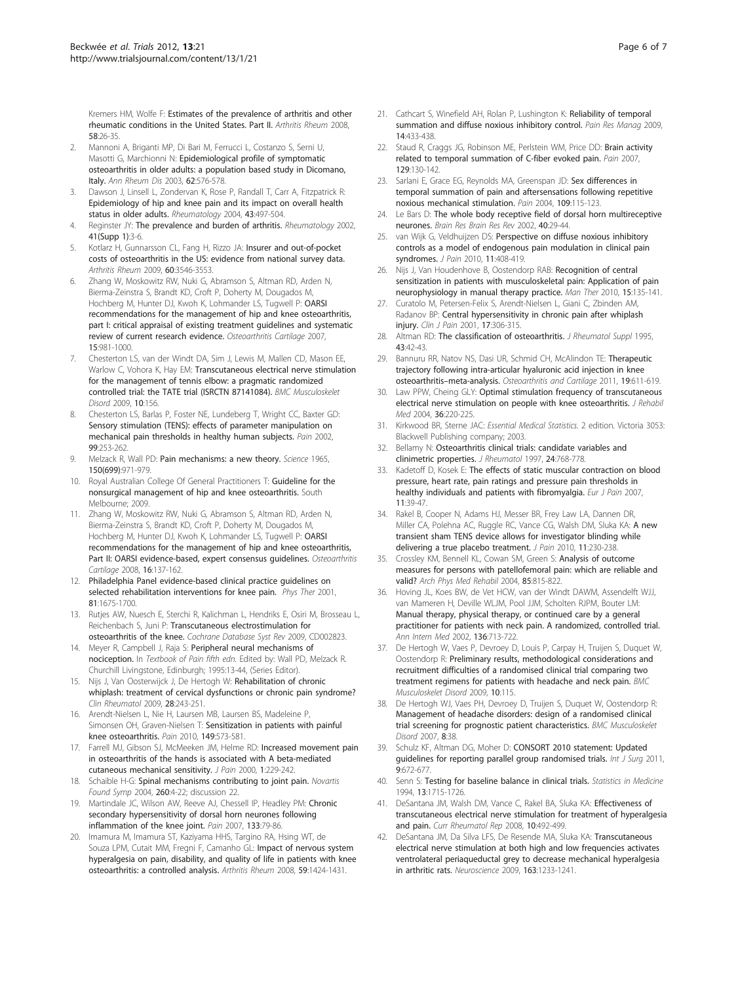<span id="page-5-0"></span>Kremers HM, Wolfe F: [Estimates of the prevalence of arthritis and other](http://www.ncbi.nlm.nih.gov/pubmed/18163497?dopt=Abstract) [rheumatic conditions in the United States. Part II.](http://www.ncbi.nlm.nih.gov/pubmed/18163497?dopt=Abstract) Arthritis Rheum 2008, 58:26-35.

- 2. Mannoni A, Briganti MP, Di Bari M, Ferrucci L, Costanzo S, Serni U, Masotti G, Marchionni N: [Epidemiological profile of symptomatic](http://www.ncbi.nlm.nih.gov/pubmed/12759299?dopt=Abstract) [osteoarthritis in older adults: a population based study in Dicomano,](http://www.ncbi.nlm.nih.gov/pubmed/12759299?dopt=Abstract) [Italy.](http://www.ncbi.nlm.nih.gov/pubmed/12759299?dopt=Abstract) Ann Rheum Dis 2003, 62:576-578.
- 3. Dawson J, Linsell L, Zondervan K, Rose P, Randall T, Carr A, Fitzpatrick R: [Epidemiology of hip and knee pain and its impact on overall health](http://www.ncbi.nlm.nih.gov/pubmed/14762225?dopt=Abstract) [status in older adults.](http://www.ncbi.nlm.nih.gov/pubmed/14762225?dopt=Abstract) Rheumatology 2004, 43:497-504.
- 4. Reginster JY: [The prevalence and burden of arthritis.](http://www.ncbi.nlm.nih.gov/pubmed/12173279?dopt=Abstract) Rheumatology 2002, 41(Supp 1):3-6.
- 5. Kotlarz H, Gunnarsson CL, Fang H, Rizzo JA: [Insurer and out-of-pocket](http://www.ncbi.nlm.nih.gov/pubmed/19950287?dopt=Abstract) [costs of osteoarthritis in the US: evidence from national survey data.](http://www.ncbi.nlm.nih.gov/pubmed/19950287?dopt=Abstract) Arthritis Rheum 2009, 60:3546-3553.
- Zhang W, Moskowitz RW, Nuki G, Abramson S, Altman RD, Arden N, Bierma-Zeinstra S, Brandt KD, Croft P, Doherty M, Dougados M, Hochberg M, Hunter DJ, Kwoh K, Lohmander LS, Tugwell P: [OARSI](http://www.ncbi.nlm.nih.gov/pubmed/17719803?dopt=Abstract) [recommendations for the management of hip and knee osteoarthritis,](http://www.ncbi.nlm.nih.gov/pubmed/17719803?dopt=Abstract) [part I: critical appraisal of existing treatment guidelines and systematic](http://www.ncbi.nlm.nih.gov/pubmed/17719803?dopt=Abstract) [review of current research evidence.](http://www.ncbi.nlm.nih.gov/pubmed/17719803?dopt=Abstract) Osteoarthritis Cartilage 2007, 15:981-1000.
- 7. Chesterton LS, van der Windt DA, Sim J, Lewis M, Mallen CD, Mason EE, Warlow C, Vohora K, Hay EM: [Transcutaneous electrical nerve stimulation](http://www.ncbi.nlm.nih.gov/pubmed/20003341?dopt=Abstract) [for the management of tennis elbow: a pragmatic randomized](http://www.ncbi.nlm.nih.gov/pubmed/20003341?dopt=Abstract) [controlled trial: the TATE trial \(ISRCTN 87141084\).](http://www.ncbi.nlm.nih.gov/pubmed/20003341?dopt=Abstract) BMC Musculoskelet Disord 2009, 10:156.
- 8. Chesterton LS, Barlas P, Foster NE, Lundeberg T, Wright CC, Baxter GD: [Sensory stimulation \(TENS\): effects of parameter manipulation on](http://www.ncbi.nlm.nih.gov/pubmed/12237203?dopt=Abstract) [mechanical pain thresholds in healthy human subjects.](http://www.ncbi.nlm.nih.gov/pubmed/12237203?dopt=Abstract) Pain 2002, 99:253-262.
- 9. Melzack R, Wall PD: [Pain mechanisms: a new theory.](http://www.ncbi.nlm.nih.gov/pubmed/5320816?dopt=Abstract) Science 1965, 150(699):971-979.
- 10. Royal Australian College Of General Practitioners T: Guideline for the nonsurgical management of hip and knee osteoarthritis. South Melbourne; 2009.
- 11. Zhang W, Moskowitz RW, Nuki G, Abramson S, Altman RD, Arden N, Bierma-Zeinstra S, Brandt KD, Croft P, Doherty M, Dougados M, Hochberg M, Hunter DJ, Kwoh K, Lohmander LS, Tugwell P: [OARSI](http://www.ncbi.nlm.nih.gov/pubmed/18279766?dopt=Abstract) [recommendations for the management of hip and knee osteoarthritis,](http://www.ncbi.nlm.nih.gov/pubmed/18279766?dopt=Abstract) [Part II: OARSI evidence-based, expert consensus guidelines.](http://www.ncbi.nlm.nih.gov/pubmed/18279766?dopt=Abstract) Osteoarthritis Cartilage 2008, 16:137-162.
- 12. Philadelphia Panel evidence-based clinical practice guidelines on selected rehabilitation interventions for knee pain. Phys Ther 2001, 81:1675-1700.
- 13. Rutjes AW, Nuesch E, Sterchi R, Kalichman L, Hendriks E, Osiri M, Brosseau L, Reichenbach S, Juni P: Transcutaneous electrostimulation for osteoarthritis of the knee. Cochrane Database Syst Rev 2009, CD002823.
- 14. Meyer R, Campbell J, Raja S: Peripheral neural mechanisms of nociception. In Textbook of Pain fifth edn. Edited by: Wall PD, Melzack R. Churchill Livingstone, Edinburgh; 1995:13-44, (Series Editor).
- 15. Nijs J, Van Oosterwijck J, De Hertogh W: [Rehabilitation of chronic](http://www.ncbi.nlm.nih.gov/pubmed/19160000?dopt=Abstract) whiplash: [treatment of cervical dysfunctions or chronic pain syndrome?](http://www.ncbi.nlm.nih.gov/pubmed/19160000?dopt=Abstract) Clin Rheumatol 2009, 28:243-251.
- 16. Arendt-Nielsen L, Nie H, Laursen MB, Laursen BS, Madeleine P, Simonsen OH, Graven-Nielsen T: [Sensitization in patients with painful](http://www.ncbi.nlm.nih.gov/pubmed/20418016?dopt=Abstract) [knee osteoarthritis.](http://www.ncbi.nlm.nih.gov/pubmed/20418016?dopt=Abstract) Pain 2010, 149:573-581.
- 17. Farrell MJ, Gibson SJ, McMeeken JM, Helme RD: [Increased movement pain](http://www.ncbi.nlm.nih.gov/pubmed/14622622?dopt=Abstract) [in osteoarthritis of the hands is associated with A beta-mediated](http://www.ncbi.nlm.nih.gov/pubmed/14622622?dopt=Abstract) [cutaneous mechanical sensitivity.](http://www.ncbi.nlm.nih.gov/pubmed/14622622?dopt=Abstract) J Pain 2000, 1:229-242.
- 18. Schaible H-G: [Spinal mechanisms contributing to joint pain.](http://www.ncbi.nlm.nih.gov/pubmed/15283441?dopt=Abstract) Novartis Found Symp 2004, 260:4-22; discussion 22.
- 19. Martindale JC, Wilson AW, Reeve AJ, Chessell IP, Headley PM: [Chronic](http://www.ncbi.nlm.nih.gov/pubmed/17467170?dopt=Abstract) [secondary hypersensitivity of dorsal horn neurones following](http://www.ncbi.nlm.nih.gov/pubmed/17467170?dopt=Abstract) [inflammation of the knee joint.](http://www.ncbi.nlm.nih.gov/pubmed/17467170?dopt=Abstract) Pain 2007, 133:79-86.
- 20. Imamura M, Imamura ST, Kaziyama HHS, Targino RA, Hsing WT, de Souza LPM, Cutait MM, Fregni F, Camanho GL: [Impact of nervous system](http://www.ncbi.nlm.nih.gov/pubmed/18821657?dopt=Abstract) [hyperalgesia on pain, disability, and quality of life in patients with knee](http://www.ncbi.nlm.nih.gov/pubmed/18821657?dopt=Abstract) [osteoarthritis: a controlled analysis.](http://www.ncbi.nlm.nih.gov/pubmed/18821657?dopt=Abstract) Arthritis Rheum 2008, 59:1424-1431.
- 21. Cathcart S, Winefield AH, Rolan P, Lushington K: [Reliability of temporal](http://www.ncbi.nlm.nih.gov/pubmed/20011713?dopt=Abstract) [summation and diffuse noxious inhibitory control.](http://www.ncbi.nlm.nih.gov/pubmed/20011713?dopt=Abstract) Pain Res Manag 2009, 14:433-438.
- 22. Staud R, Craggs JG, Robinson ME, Perlstein WM, Price DD: [Brain activity](http://www.ncbi.nlm.nih.gov/pubmed/17156923?dopt=Abstract) [related to temporal summation of C-fiber evoked pain.](http://www.ncbi.nlm.nih.gov/pubmed/17156923?dopt=Abstract) Pain 2007, 129:130-142.
- 23. Sarlani E, Grace EG, Reynolds MA, Greenspan JD: [Sex differences in](http://www.ncbi.nlm.nih.gov/pubmed/15082133?dopt=Abstract) [temporal summation of pain and aftersensations following repetitive](http://www.ncbi.nlm.nih.gov/pubmed/15082133?dopt=Abstract) [noxious mechanical stimulation.](http://www.ncbi.nlm.nih.gov/pubmed/15082133?dopt=Abstract) Pain 2004, 109:115-123.
- 24. Le Bars D: [The whole body receptive field of dorsal horn multireceptive](http://www.ncbi.nlm.nih.gov/pubmed/12589904?dopt=Abstract) [neurones.](http://www.ncbi.nlm.nih.gov/pubmed/12589904?dopt=Abstract) Brain Res Brain Res Rev 2002, 40:29-44.
- 25. van Wijk G, Veldhuijzen DS: [Perspective on diffuse noxious inhibitory](http://www.ncbi.nlm.nih.gov/pubmed/20075013?dopt=Abstract) [controls as a model of endogenous pain modulation in clinical pain](http://www.ncbi.nlm.nih.gov/pubmed/20075013?dopt=Abstract) [syndromes.](http://www.ncbi.nlm.nih.gov/pubmed/20075013?dopt=Abstract) J Pain 2010, 11:408-419.
- 26. Nijs J, Van Houdenhove B, Oostendorp RAB: [Recognition of central](http://www.ncbi.nlm.nih.gov/pubmed/20036180?dopt=Abstract) [sensitization in patients with musculoskeletal pain: Application of pain](http://www.ncbi.nlm.nih.gov/pubmed/20036180?dopt=Abstract) [neurophysiology in manual therapy practice.](http://www.ncbi.nlm.nih.gov/pubmed/20036180?dopt=Abstract) Man Ther 2010, 15:135-141.
- 27. Curatolo M, Petersen-Felix S, Arendt-Nielsen L, Giani C, Zbinden AM, Radanov BP: [Central hypersensitivity in chronic pain after whiplash](http://www.ncbi.nlm.nih.gov/pubmed/11783810?dopt=Abstract) [injury.](http://www.ncbi.nlm.nih.gov/pubmed/11783810?dopt=Abstract) Clin J Pain 2001, 17:306-315.
- 28. Altman RD: [The classification of osteoarthritis.](http://www.ncbi.nlm.nih.gov/pubmed/7752134?dopt=Abstract) J Rheumatol Suppl 1995, 43:42-43.
- 29. Bannuru RR, Natov NS, Dasi UR, Schmid CH, McAlindon TE: [Therapeutic](http://www.ncbi.nlm.nih.gov/pubmed/21443958?dopt=Abstract) [trajectory following intra-articular hyaluronic acid injection in knee](http://www.ncbi.nlm.nih.gov/pubmed/21443958?dopt=Abstract) osteoarthritis–[meta-analysis.](http://www.ncbi.nlm.nih.gov/pubmed/21443958?dopt=Abstract) Osteoarthritis and Cartilage 2011, 19:611-619.
- 30. Law PPW, Cheing GLY: [Optimal stimulation frequency of transcutaneous](http://www.ncbi.nlm.nih.gov/pubmed/15626162?dopt=Abstract) [electrical nerve stimulation on people with knee osteoarthritis.](http://www.ncbi.nlm.nih.gov/pubmed/15626162?dopt=Abstract) J Rehabil Med 2004, 36:220-225.
- 31. Kirkwood BR, Sterne JAC: Essential Medical Statistics. 2 edition. Victoria 3053: Blackwell Publishing company; 2003.
- 32. Bellamy N: [Osteoarthritis clinical trials: candidate variables and](http://www.ncbi.nlm.nih.gov/pubmed/9101516?dopt=Abstract) [clinimetric properties.](http://www.ncbi.nlm.nih.gov/pubmed/9101516?dopt=Abstract) J Rheumatol 1997, 24:768-778.
- 33. Kadetoff D, Kosek E: [The effects of static muscular contraction on blood](http://www.ncbi.nlm.nih.gov/pubmed/16480906?dopt=Abstract) [pressure, heart rate, pain ratings and pressure pain thresholds in](http://www.ncbi.nlm.nih.gov/pubmed/16480906?dopt=Abstract) [healthy individuals and patients with fibromyalgia.](http://www.ncbi.nlm.nih.gov/pubmed/16480906?dopt=Abstract) Eur J Pain 2007, 11:39-47.
- 34. Rakel B, Cooper N, Adams HJ, Messer BR, Frey Law LA, Dannen DR, Miller CA, Polehna AC, Ruggle RC, Vance CG, Walsh DM, Sluka KA: [A new](http://www.ncbi.nlm.nih.gov/pubmed/19945354?dopt=Abstract) [transient sham TENS device allows for investigator blinding while](http://www.ncbi.nlm.nih.gov/pubmed/19945354?dopt=Abstract) [delivering a true placebo treatment.](http://www.ncbi.nlm.nih.gov/pubmed/19945354?dopt=Abstract) J Pain 2010, 11:230-238.
- 35. Crossley KM, Bennell KL, Cowan SM, Green S: [Analysis of outcome](http://www.ncbi.nlm.nih.gov/pubmed/15129407?dopt=Abstract) [measures for persons with patellofemoral pain: which are reliable and](http://www.ncbi.nlm.nih.gov/pubmed/15129407?dopt=Abstract) [valid?](http://www.ncbi.nlm.nih.gov/pubmed/15129407?dopt=Abstract) Arch Phys Med Rehabil 2004, 85:815-822.
- 36. Hoving JL, Koes BW, de Vet HCW, van der Windt DAWM, Assendelft WJJ, van Mameren H, Deville WLJM, Pool JJM, Scholten RJPM, Bouter LM: [Manual therapy, physical therapy, or continued care by a general](http://www.ncbi.nlm.nih.gov/pubmed/12020139?dopt=Abstract) [practitioner for patients with neck pain. A randomized, controlled trial.](http://www.ncbi.nlm.nih.gov/pubmed/12020139?dopt=Abstract) Ann Intern Med 2002, 136:713-722.
- 37. De Hertogh W, Vaes P, Devroey D, Louis P, Carpay H, Truijen S, Duquet W, Oostendorp R: [Preliminary results, methodological considerations and](http://www.ncbi.nlm.nih.gov/pubmed/19775434?dopt=Abstract) [recruitment difficulties of a randomised clinical trial comparing two](http://www.ncbi.nlm.nih.gov/pubmed/19775434?dopt=Abstract) [treatment regimens for patients with headache and neck pain.](http://www.ncbi.nlm.nih.gov/pubmed/19775434?dopt=Abstract) BMC Musculoskelet Disord 2009, 10:115.
- 38. De Hertogh WJ, Vaes PH, Devroey D, Truijen S, Duquet W, Oostendorp R: [Management of headache disorders: design of a randomised clinical](http://www.ncbi.nlm.nih.gov/pubmed/17462091?dopt=Abstract) [trial screening for prognostic patient characteristics.](http://www.ncbi.nlm.nih.gov/pubmed/17462091?dopt=Abstract) BMC Musculoskelet Disord 2007, 8:38.
- Schulz KF, Altman DG, Moher D: [CONSORT 2010 statement: Updated](http://www.ncbi.nlm.nih.gov/pubmed/22019563?dopt=Abstract) [guidelines for reporting parallel group randomised trials.](http://www.ncbi.nlm.nih.gov/pubmed/22019563?dopt=Abstract) Int J Surg 2011, 9:672-677.
- 40. Senn S: [Testing for baseline balance in clinical trials.](http://www.ncbi.nlm.nih.gov/pubmed/7997705?dopt=Abstract) Statistics in Medicine 1994, 13:1715-1726.
- 41. DeSantana JM, Walsh DM, Vance C, Rakel BA, Sluka KA: [Effectiveness of](http://www.ncbi.nlm.nih.gov/pubmed/19007541?dopt=Abstract) [transcutaneous electrical nerve stimulation for treatment of hyperalgesia](http://www.ncbi.nlm.nih.gov/pubmed/19007541?dopt=Abstract) [and pain.](http://www.ncbi.nlm.nih.gov/pubmed/19007541?dopt=Abstract) Curr Rheumatol Rep 2008, 10:492-499.
- 42. DeSantana JM, Da Silva LFS, De Resende MA, Sluka KA: [Transcutaneous](http://www.ncbi.nlm.nih.gov/pubmed/19576962?dopt=Abstract) [electrical nerve stimulation at both high and low frequencies activates](http://www.ncbi.nlm.nih.gov/pubmed/19576962?dopt=Abstract) [ventrolateral periaqueductal grey to decrease mechanical hyperalgesia](http://www.ncbi.nlm.nih.gov/pubmed/19576962?dopt=Abstract) [in arthritic rats.](http://www.ncbi.nlm.nih.gov/pubmed/19576962?dopt=Abstract) Neuroscience 2009, 163:1233-1241.